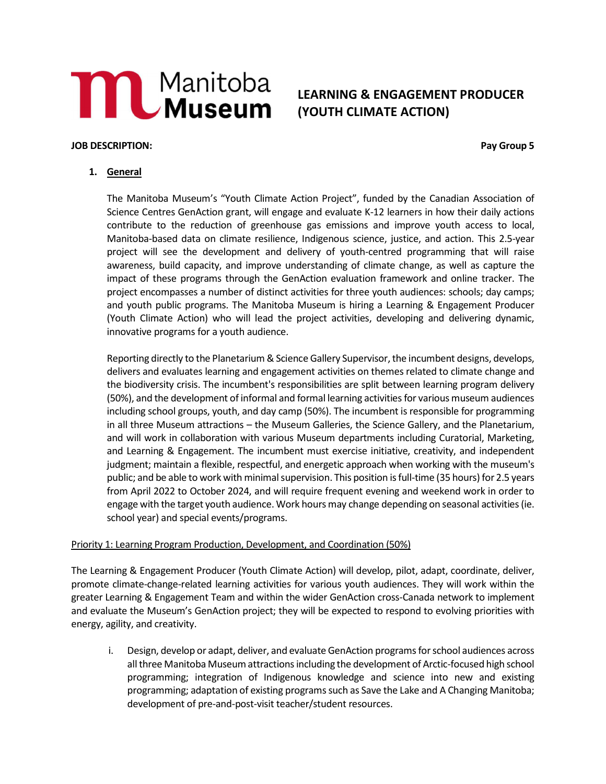# **MAND** Manitoba

# LEARNING & ENGAGEMENT PRODUCER (YOUTH CLIMATE ACTION)

### JOB DESCRIPTION: Pay Group 5

## 1. General

The Manitoba Museum's "Youth Climate Action Project", funded by the Canadian Association of Science Centres GenAction grant, will engage and evaluate K-12 learners in how their daily actions contribute to the reduction of greenhouse gas emissions and improve youth access to local, Manitoba-based data on climate resilience, Indigenous science, justice, and action. This 2.5-year project will see the development and delivery of youth-centred programming that will raise awareness, build capacity, and improve understanding of climate change, as well as capture the impact of these programs through the GenAction evaluation framework and online tracker. The project encompasses a number of distinct activities for three youth audiences: schools; day camps; and youth public programs. The Manitoba Museum is hiring a Learning & Engagement Producer (Youth Climate Action) who will lead the project activities, developing and delivering dynamic, innovative programs for a youth audience.

Reporting directly to the Planetarium & Science Gallery Supervisor, the incumbent designs, develops, delivers and evaluates learning and engagement activities on themes related to climate change and the biodiversity crisis. The incumbent's responsibilities are split between learning program delivery (50%), and the development of informal and formal learning activities for various museum audiences including school groups, youth, and day camp (50%). The incumbent is responsible for programming in all three Museum attractions – the Museum Galleries, the Science Gallery, and the Planetarium, and will work in collaboration with various Museum departments including Curatorial, Marketing, and Learning & Engagement. The incumbent must exercise initiative, creativity, and independent judgment; maintain a flexible, respectful, and energetic approach when working with the museum's public; and be able to work with minimal supervision. This position is full-time (35 hours) for 2.5 years from April 2022 to October 2024, and will require frequent evening and weekend work in order to engage with the target youth audience. Work hours may change depending on seasonal activities (ie. school year) and special events/programs.

### Priority 1: Learning Program Production, Development, and Coordination (50%)

The Learning & Engagement Producer (Youth Climate Action) will develop, pilot, adapt, coordinate, deliver, promote climate-change-related learning activities for various youth audiences. They will work within the greater Learning & Engagement Team and within the wider GenAction cross-Canada network to implement and evaluate the Museum's GenAction project; they will be expected to respond to evolving priorities with energy, agility, and creativity.

i. Design, develop or adapt, deliver, and evaluate GenAction programs for school audiences across all three Manitoba Museum attractions including the development of Arctic-focused high school programming; integration of Indigenous knowledge and science into new and existing programming; adaptation of existing programs such as Save the Lake and A Changing Manitoba; development of pre-and-post-visit teacher/student resources.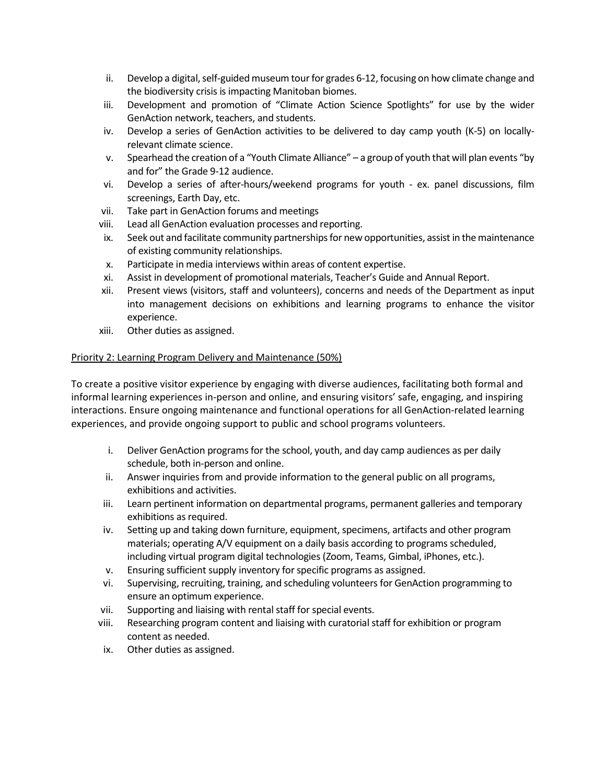- ii. Develop a digital, self-guided museum tour for grades 6-12, focusing on how climate change and the biodiversity crisis is impacting Manitoban biomes.
- iii. Development and promotion of "Climate Action Science Spotlights" for use by the wider GenAction network, teachers, and students.
- iv. Develop a series of GenAction activities to be delivered to day camp youth (K-5) on locallyrelevant climate science.
- v. Spearhead the creation of a "Youth Climate Alliance" a group of youth that will plan events "by and for" the Grade 9-12 audience.
- vi. Develop a series of after-hours/weekend programs for youth ex. panel discussions, film screenings, Earth Day, etc.
- vii. Take part in GenAction forums and meetings
- viii. Lead all GenAction evaluation processes and reporting.
- ix. Seek out and facilitate community partnerships for new opportunities, assist in the maintenance of existing community relationships.
- x. Participate in media interviews within areas of content expertise.
- xi. Assist in development of promotional materials, Teacher's Guide and Annual Report.
- xii. Present views (visitors, staff and volunteers), concerns and needs of the Department as input into management decisions on exhibitions and learning programs to enhance the visitor experience.
- xiii. Other duties as assigned.

### Priority 2: Learning Program Delivery and Maintenance (50%)

To create a positive visitor experience by engaging with diverse audiences, facilitating both formal and informal learning experiences in-person and online, and ensuring visitors' safe, engaging, and inspiring interactions. Ensure ongoing maintenance and functional operations for all GenAction-related learning experiences, and provide ongoing support to public and school programs volunteers.

- i. Deliver GenAction programs for the school, youth, and day camp audiences as per daily schedule, both in-person and online.
- ii. Answer inquiries from and provide information to the general public on all programs, exhibitions and activities.
- iii. Learn pertinent information on departmental programs, permanent galleries and temporary exhibitions as required.
- iv. Setting up and taking down furniture, equipment, specimens, artifacts and other program materials; operating A/V equipment on a daily basis according to programs scheduled, including virtual program digital technologies (Zoom, Teams, Gimbal, iPhones, etc.).
- v. Ensuring sufficient supply inventory for specific programs as assigned.
- vi. Supervising, recruiting, training, and scheduling volunteers for GenAction programming to ensure an optimum experience.
- vii. Supporting and liaising with rental staff for special events.
- viii. Researching program content and liaising with curatorial staff for exhibition or program content as needed.
- ix. Other duties as assigned.